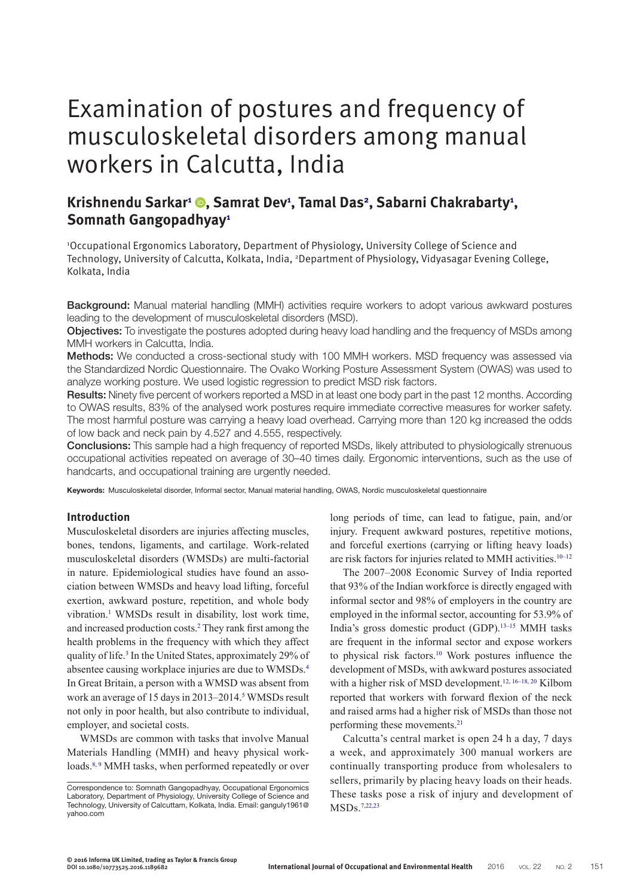# Examination of postures and frequency of musculoskeletal disorders among manual workers in Calcutta, India

# **Krishnendu Sarka[r1](#page-0-0) , Samrat Dev[1](#page-0-0) , Tamal Das[2](#page-0-1) , Sabarni Chakrabart[y1](#page-0-0) , Somnath Gangopadhyay[1](#page-0-0)**

<span id="page-0-1"></span><span id="page-0-0"></span>1 Occupational Ergonomics Laboratory, Department of Physiology, University College of Science and Technology, University of Calcutta, Kolkata, India, 2 Department of Physiology, Vidyasagar Evening College, Kolkata, India

Background: Manual material handling (MMH) activities require workers to adopt various awkward postures leading to the development of musculoskeletal disorders (MSD).

Objectives: To investigate the postures adopted during heavy load handling and the frequency of MSDs among MMH workers in Calcutta, India.

Methods: We conducted a cross-sectional study with 100 MMH workers. MSD frequency was assessed via the Standardized Nordic Questionnaire. The Ovako Working Posture Assessment System (OWAS) was used to analyze working posture. We used logistic regression to predict MSD risk factors.

Results: Ninety five percent of workers reported a MSD in at least one body part in the past 12 months. According to OWAS results, 83% of the analysed work postures require immediate corrective measures for worker safety. The most harmful posture was carrying a heavy load overhead. Carrying more than 120 kg increased the odds of low back and neck pain by 4.527 and 4.555, respectively.

Conclusions: This sample had a high frequency of reported MSDs, likely attributed to physiologically strenuous occupational activities repeated on average of 30–40 times daily. Ergonomic interventions, such as the use of handcarts, and occupational training are urgently needed.

Keywords: Musculoskeletal disorder, Informal sector, Manual material handling, OWAS, Nordic musculoskeletal questionnaire

# **Introduction**

<span id="page-0-6"></span>Musculoskeletal disorders are injuries affecting muscles, bones, tendons, ligaments, and cartilage. Work-related musculoskeletal disorders (WMSDs) are multi-factorial in nature. Epidemiological studies have found an association between WMSDs and heavy load lifting, forceful exertion, awkward posture, repetition, and whole body vibration.[1](#page-6-0) WMSDs result in disability, lost work time, and increased production costs[.2](#page-6-1) They rank first among the health problems in the frequency with which they affect quality of life.<sup>[3](#page-6-2)</sup> In the United States, approximately 29% of absentee causing workplace injuries are due to WMSDs[.4](#page-6-3) In Great Britain, a person with a WMSD was absent from work an average of 15 days in 2013-2014.<sup>5</sup> WMSDs result not only in poor health, but also contribute to individual, employer, and societal costs.

<span id="page-0-8"></span>WMSDs are common with tasks that involve Manual Materials Handling (MMH) and heavy physical work-loads.<sup>[8, 9](#page-6-5)</sup> MMH tasks, when performed repeatedly or over long periods of time, can lead to fatigue, pain, and/or injury. Frequent awkward postures, repetitive motions, and forceful exertions (carrying or lifting heavy loads) are risk factors for injuries related to MMH activities.[10–12](#page-6-6)

<span id="page-0-7"></span><span id="page-0-2"></span>The 2007–2008 Economic Survey of India reported that 93% of the Indian workforce is directly engaged with informal sector and 98% of employers in the country are employed in the informal sector, accounting for 53.9% of India's gross domestic product (GDP).[13–15](#page-6-7) MMH tasks are frequent in the informal sector and expose workers to physical risk factors.<sup>10</sup> Work postures influence the development of MSDs, with awkward postures associated with a higher risk of MSD development.<sup>12, 16–18, 20</sup> Kilbom reported that workers with forward flexion of the neck and raised arms had a higher risk of MSDs than those not performing these movements[.21](#page-6-9)

<span id="page-0-11"></span><span id="page-0-10"></span><span id="page-0-9"></span><span id="page-0-5"></span><span id="page-0-4"></span><span id="page-0-3"></span>Calcutta's central market is open 24 h a day, 7 days a week, and approximately 300 manual workers are continually transporting produce from wholesalers to sellers, primarily by placing heavy loads on their heads. These tasks pose a risk of injury and development of MSDs.[7](#page-6-10)[,22](#page-6-11),[23](#page-6-12)

Correspondence to: Somnath Gangopadhyay, Occupational Ergonomics Laboratory, Department of Physiology, University College of Science and Technology, University of Calcuttam, Kolkata, India. Email: [ganguly1961@](mailto:ganguly1961@yahoo.com) [yahoo.com](mailto:ganguly1961@yahoo.com)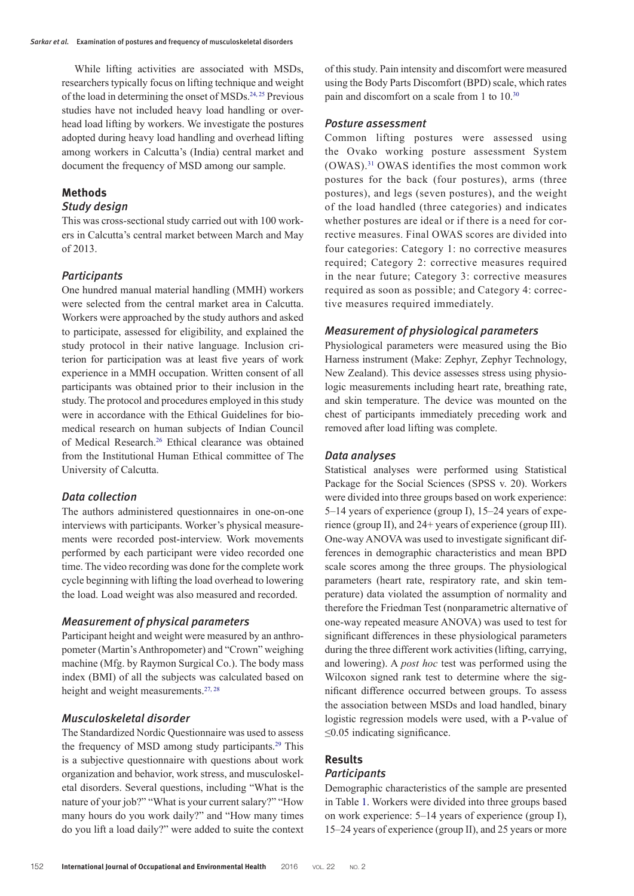While lifting activities are associated with MSDs, researchers typically focus on lifting technique and weight of the load in determining the onset of MSDs.<sup>24, 25</sup> Previous studies have not included heavy load handling or overhead load lifting by workers. We investigate the postures adopted during heavy load handling and overhead lifting among workers in Calcutta's (India) central market and document the frequency of MSD among our sample.

# **Methods**

# *Study design*

This was cross-sectional study carried out with 100 workers in Calcutta's central market between March and May of 2013.

# *Participants*

One hundred manual material handling (MMH) workers were selected from the central market area in Calcutta. Workers were approached by the study authors and asked to participate, assessed for eligibility, and explained the study protocol in their native language. Inclusion criterion for participation was at least five years of work experience in a MMH occupation. Written consent of all participants was obtained prior to their inclusion in the study. The protocol and procedures employed in this study were in accordance with the Ethical Guidelines for biomedical research on human subjects of Indian Council of Medical Research.[26](#page-6-14) Ethical clearance was obtained from the Institutional Human Ethical committee of The University of Calcutta.

#### *Data collection*

The authors administered questionnaires in one-on-one interviews with participants. Worker's physical measurements were recorded post-interview. Work movements performed by each participant were video recorded one time. The video recording was done for the complete work cycle beginning with lifting the load overhead to lowering the load. Load weight was also measured and recorded.

#### *Measurement of physical parameters*

Participant height and weight were measured by an anthropometer (Martin's Anthropometer) and "Crown" weighing machine (Mfg. by Raymon Surgical Co.). The body mass index (BMI) of all the subjects was calculated based on height and weight measurements.<sup>[27, 28](#page-6-15)</sup>

# *Musculoskeletal disorder*

The Standardized Nordic Questionnaire was used to assess the frequency of MSD among study participants.<sup>29</sup> This is a subjective questionnaire with questions about work organization and behavior, work stress, and musculoskeletal disorders. Several questions, including "What is the nature of your job?" "What is your current salary?" "How many hours do you work daily?" and "How many times do you lift a load daily?" were added to suite the context

of this study. Pain intensity and discomfort were measured using the Body Parts Discomfort (BPD) scale, which rates pain and discomfort on a scale from 1 to 10.[30](#page-6-17)

#### <span id="page-1-2"></span>*Posture assessment*

<span id="page-1-3"></span>Common lifting postures were assessed using the Ovako working posture assessment System (OWAS)[.31](#page-6-18) OWAS identifies the most common work postures for the back (four postures), arms (three postures), and legs (seven postures), and the weight of the load handled (three categories) and indicates whether postures are ideal or if there is a need for corrective measures. Final OWAS scores are divided into four categories: Category 1: no corrective measures required; Category 2: corrective measures required in the near future; Category 3: corrective measures required as soon as possible; and Category 4: corrective measures required immediately.

#### *Measurement of physiological parameters*

Physiological parameters were measured using the Bio Harness instrument (Make: Zephyr, Zephyr Technology, New Zealand). This device assesses stress using physiologic measurements including heart rate, breathing rate, and skin temperature. The device was mounted on the chest of participants immediately preceding work and removed after load lifting was complete.

# <span id="page-1-0"></span>*Data analyses*

Statistical analyses were performed using Statistical Package for the Social Sciences (SPSS v. 20). Workers were divided into three groups based on work experience: 5–14 years of experience (group I), 15–24 years of experience (group II), and 24+ years of experience (group III). One-way ANOVA was used to investigate significant differences in demographic characteristics and mean BPD scale scores among the three groups. The physiological parameters (heart rate, respiratory rate, and skin temperature) data violated the assumption of normality and therefore the Friedman Test (nonparametric alternative of one-way repeated measure ANOVA) was used to test for significant differences in these physiological parameters during the three different work activities (lifting, carrying, and lowering). A *post hoc* test was performed using the Wilcoxon signed rank test to determine where the significant difference occurred between groups. To assess the association between MSDs and load handled, binary logistic regression models were used, with a P-value of ≤0.05 indicating significance.

# <span id="page-1-1"></span>**Results** *Participants*

# Demographic characteristics of the sample are presented in Table [1.](#page-2-0) Workers were divided into three groups based on work experience: 5–14 years of experience (group I), 15–24 years of experience (group II), and 25 years or more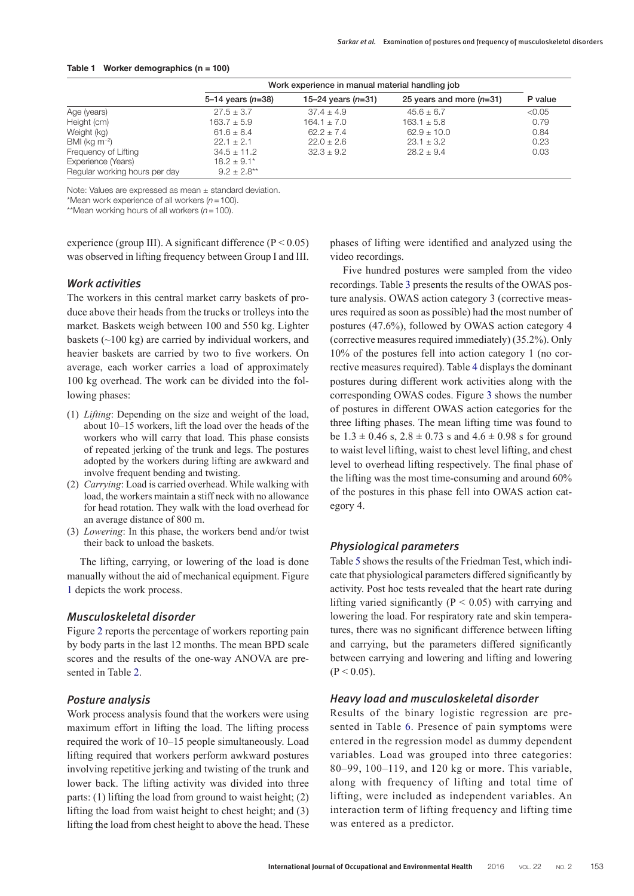|                               | Work experience in manual material handling job |                      |                            |         |  |
|-------------------------------|-------------------------------------------------|----------------------|----------------------------|---------|--|
|                               | 5–14 years $(n=38)$                             | 15–24 years $(n=31)$ | 25 years and more $(n=31)$ | P value |  |
| Age (years)                   | $27.5 \pm 3.7$                                  | $37.4 \pm 4.9$       | $45.6 \pm 6.7$             | < 0.05  |  |
| Height (cm)                   | $163.7 + 5.9$                                   | $164.1 \pm 7.0$      | $163.1 \pm 5.8$            | 0.79    |  |
| Weight (kg)                   | $61.6 \pm 8.4$                                  | $62.2 + 7.4$         | $62.9 \pm 10.0$            | 0.84    |  |
| BMI ( $\text{kg m}^{-2}$ )    | $22.1 \pm 2.1$                                  | $22.0 + 2.6$         | $23.1 \pm 3.2$             | 0.23    |  |
| Frequency of Lifting          | $34.5 \pm 11.2$                                 | $32.3 + 9.2$         | $28.2 + 9.4$               | 0.03    |  |
| Experience (Years)            | $18.2 \pm 9.1^*$                                |                      |                            |         |  |
| Regular working hours per day | $9.2 + 2.8**$                                   |                      |                            |         |  |

#### <span id="page-2-0"></span>**Table 1 Worker demographics (n = 100)**

Note: Values are expressed as mean ± standard deviation.

\*Mean work experience of all workers (*n*=100).

\*\*Mean working hours of all workers (*n*=100).

experience (group III). A significant difference ( $P < 0.05$ ) was observed in lifting frequency between Group I and III.

#### *Work activities*

The workers in this central market carry baskets of produce above their heads from the trucks or trolleys into the market. Baskets weigh between 100 and 550 kg. Lighter baskets  $(\sim 100 \text{ kg})$  are carried by individual workers, and heavier baskets are carried by two to five workers. On average, each worker carries a load of approximately 100 kg overhead. The work can be divided into the following phases:

- (1) *Lifting*: Depending on the size and weight of the load, about 10–15 workers, lift the load over the heads of the workers who will carry that load. This phase consists of repeated jerking of the trunk and legs. The postures adopted by the workers during lifting are awkward and involve frequent bending and twisting.
- (2) *Carrying*: Load is carried overhead. While walking with load, the workers maintain a stiff neck with no allowance for head rotation. They walk with the load overhead for an average distance of 800 m.
- (3) *Lowering*: In this phase, the workers bend and/or twist their back to unload the baskets.

The lifting, carrying, or lowering of the load is done manually without the aid of mechanical equipment. Figure [1](#page-3-0) depicts the work process.

#### *Musculoskeletal disorder*

Figure [2](#page-3-1) reports the percentage of workers reporting pain by body parts in the last 12 months. The mean BPD scale scores and the results of the one-way ANOVA are presented in Table [2.](#page-4-0)

#### *Posture analysis*

Work process analysis found that the workers were using maximum effort in lifting the load. The lifting process required the work of 10–15 people simultaneously. Load lifting required that workers perform awkward postures involving repetitive jerking and twisting of the trunk and lower back. The lifting activity was divided into three parts: (1) lifting the load from ground to waist height; (2) lifting the load from waist height to chest height; and (3) lifting the load from chest height to above the head. These phases of lifting were identified and analyzed using the video recordings.

Five hundred postures were sampled from the video recordings. Table [3](#page-4-1) presents the results of the OWAS posture analysis. OWAS action category 3 (corrective measures required as soon as possible) had the most number of postures (47.6%), followed by OWAS action category 4 (corrective measures required immediately) (35.2%). Only 10% of the postures fell into action category 1 (no corrective measures required). Table [4](#page-4-2) displays the dominant postures during different work activities along with the corresponding OWAS codes. Figure [3](#page-3-2) shows the number of postures in different OWAS action categories for the three lifting phases. The mean lifting time was found to be  $1.3 \pm 0.46$  s,  $2.8 \pm 0.73$  s and  $4.6 \pm 0.98$  s for ground to waist level lifting, waist to chest level lifting, and chest level to overhead lifting respectively. The final phase of the lifting was the most time-consuming and around 60% of the postures in this phase fell into OWAS action category 4.

#### *Physiological parameters*

Table [5](#page-5-0) shows the results of the Friedman Test, which indicate that physiological parameters differed significantly by activity. Post hoc tests revealed that the heart rate during lifting varied significantly ( $P < 0.05$ ) with carrying and lowering the load. For respiratory rate and skin temperatures, there was no significant difference between lifting and carrying, but the parameters differed significantly between carrying and lowering and lifting and lowering  $(P < 0.05)$ .

# *Heavy load and musculoskeletal disorder*

Results of the binary logistic regression are presented in Table [6.](#page-5-1) Presence of pain symptoms were entered in the regression model as dummy dependent variables. Load was grouped into three categories: 80–99, 100–119, and 120 kg or more. This variable, along with frequency of lifting and total time of lifting, were included as independent variables. An interaction term of lifting frequency and lifting time was entered as a predictor.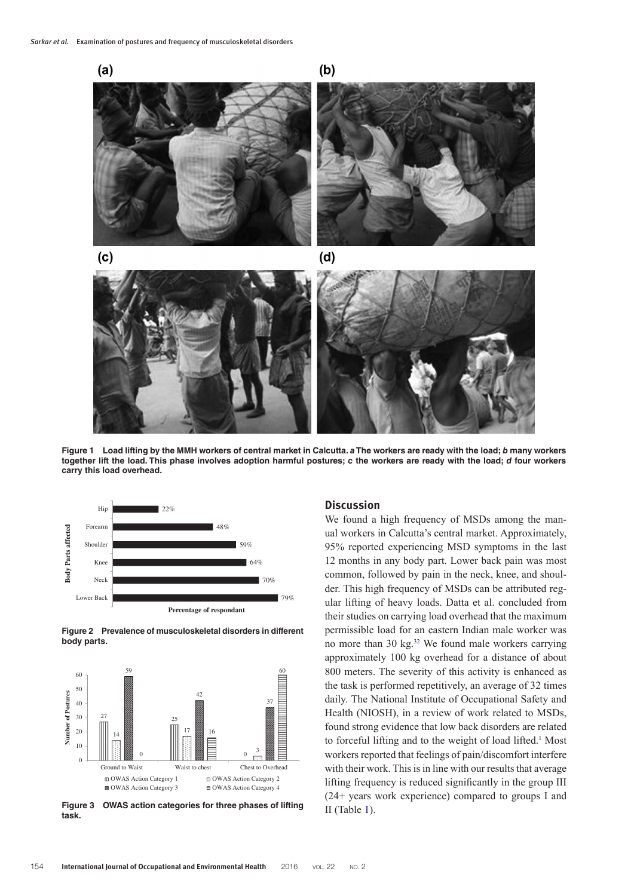

<span id="page-3-0"></span>**Figure 1 Load lifting by the MMH workers of central market in Calcutta.** *a* **The workers are ready with the load;** *b* **many workers together lift the load. This phase involves adoption harmful postures;** *c* **the workers are ready with the load;** *d* **four workers carry this load overhead.**



<span id="page-3-1"></span>



<span id="page-3-2"></span>**Figure 3 OWAS action categories for three phases of lifting task.**

#### **Discussion**

<span id="page-3-3"></span>We found a high frequency of MSDs among the manual workers in Calcutta's central market. Approximately, 95% reported experiencing MSD symptoms in the last 12 months in any body part. Lower back pain was most common, followed by pain in the neck, knee, and shoulder. This high frequency of MSDs can be attributed regular lifting of heavy loads. Datta et al. concluded from their studies on carrying load overhead that the maximum permissible load for an eastern Indian male worker was no more than 30 kg.<sup>[32](#page-6-19)</sup> We found male workers carrying approximately 100 kg overhead for a distance of about 800 meters. The severity of this activity is enhanced as the task is performed repetitively, an average of 32 times daily. The National Institute of Occupational Safety and Health (NIOSH), in a review of work related to MSDs, found strong evidence that low back disorders are related to forceful lifting and to the weight of load lifted.<sup>[1](#page-6-0)</sup> Most workers reported that feelings of pain/discomfort interfere with their work. This is in line with our results that average lifting frequency is reduced significantly in the group III (24+ years work experience) compared to groups I and II (Table [1](#page-2-0)).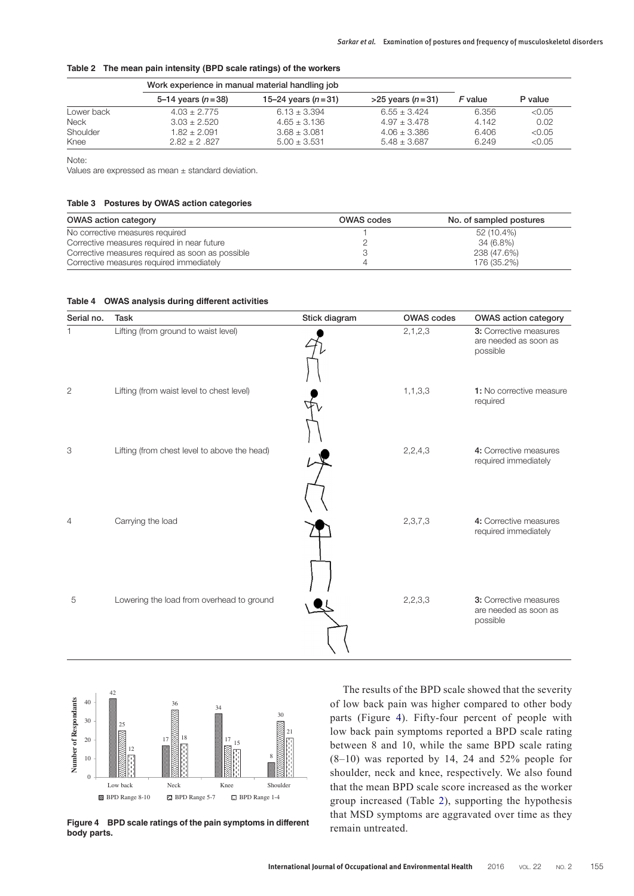|            | Work experience in manual material handling job |                      |                       |         |         |
|------------|-------------------------------------------------|----------------------|-----------------------|---------|---------|
|            | 5–14 years ( $n = 38$ )                         | 15–24 years $(n=31)$ | $>$ 25 years (n = 31) | F value | P value |
| Lower back | $4.03 + 2.775$                                  | $6.13 \pm 3.394$     | $6.55 \pm 3.424$      | 6.356   | < 0.05  |
| Neck       | $3.03 + 2.520$                                  | $4.65 \pm 3.136$     | $4.97 \pm 3.478$      | 4.142   | 0.02    |
| Shoulder   | $1.82 + 2.091$                                  | $3.68 \pm 3.081$     | $4.06 \pm 3.386$      | 6.406   | < 0.05  |
| Knee       | $2.82 + 2.827$                                  | $5.00 \pm 3.531$     | $5.48 \pm 3.687$      | 6.249   | < 0.05  |

<span id="page-4-0"></span>

|  | Table 2 The mean pain intensity (BPD scale ratings) of the workers |  |  |  |
|--|--------------------------------------------------------------------|--|--|--|
|--|--------------------------------------------------------------------|--|--|--|

Note:

Values are expressed as mean  $\pm$  standard deviation.

#### <span id="page-4-1"></span>**Table 3 Postures by OWAS action categories**

| <b>OWAS</b> action category                      | <b>OWAS codes</b> | No. of sampled postures |
|--------------------------------------------------|-------------------|-------------------------|
| No corrective measures required                  |                   | 52 (10.4%)              |
| Corrective measures required in near future      |                   | 34 (6.8%)               |
| Corrective measures required as soon as possible |                   | 238 (47.6%)             |
| Corrective measures required immediately         |                   | 176 (35.2%)             |

| Serial no.   | <b>Task</b>                                  | Stick diagram | <b>OWAS codes</b> | <b>OWAS action category</b>                                 |
|--------------|----------------------------------------------|---------------|-------------------|-------------------------------------------------------------|
|              | Lifting (from ground to waist level)         |               | 2, 1, 2, 3        | 3: Corrective measures<br>are needed as soon as<br>possible |
| $\mathbf{2}$ | Lifting (from waist level to chest level)    |               | 1, 1, 3, 3        | 1: No corrective measure<br>required                        |
| 3            | Lifting (from chest level to above the head) |               | 2,2,4,3           | 4: Corrective measures<br>required immediately              |
| 4            | Carrying the load                            |               | 2,3,7,3           | 4: Corrective measures<br>required immediately              |
| 5            | Lowering the load from overhead to ground    |               | 2,2,3,3           | 3: Corrective measures<br>are needed as soon as<br>possible |

#### <span id="page-4-2"></span>**Table 4 OWAS analysis during different activities**



<span id="page-4-3"></span>**Figure 4 BPD scale ratings of the pain symptoms in different body parts.**

The results of the BPD scale showed that the severity of low back pain was higher compared to other body parts (Figure [4](#page-4-3)). Fifty-four percent of people with low back pain symptoms reported a BPD scale rating between 8 and 10, while the same BPD scale rating (8–10) was reported by 14, 24 and 52% people for shoulder, neck and knee, respectively. We also found that the mean BPD scale score increased as the worker group increased (Table [2](#page-4-0)), supporting the hypothesis that MSD symptoms are aggravated over time as they remain untreated.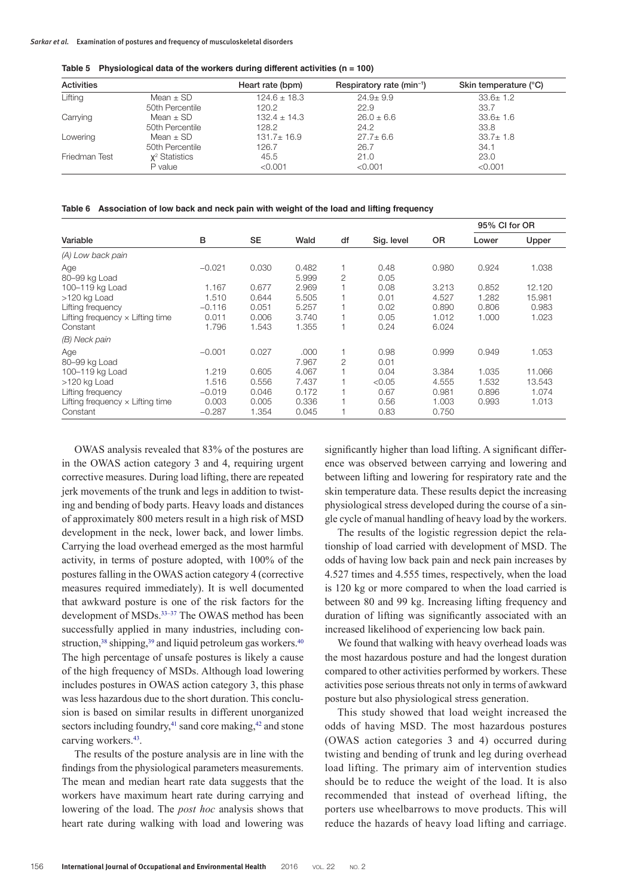<span id="page-5-0"></span>

|  |  |  | Table 5 Physiological data of the workers during different activities (n = 100) |  |  |  |  |
|--|--|--|---------------------------------------------------------------------------------|--|--|--|--|
|--|--|--|---------------------------------------------------------------------------------|--|--|--|--|

| <b>Activities</b> |                  | Heart rate (bpm) | Respiratory rate (min-1) | Skin temperature (°C) |
|-------------------|------------------|------------------|--------------------------|-----------------------|
| Lifting           | Mean $\pm$ SD    | $124.6 \pm 18.3$ | $24.9 + 9.9$             | $33.6 \pm 1.2$        |
|                   | 50th Percentile  | 120.2            | 22.9                     | 33.7                  |
| Carrying          | Mean $\pm$ SD    | $132.4 \pm 14.3$ | $26.0 \pm 6.6$           | $33.6 \pm 1.6$        |
|                   | 50th Percentile  | 128.2            | 24.2                     | 33.8                  |
| Lowering          | Mean ± SD        | $131.7 + 16.9$   | $27.7 \pm 6.6$           | $33.7 \pm 1.8$        |
|                   | 50th Percentile  | 126.7            | 26.7                     | 34.1                  |
| Friedman Test     | $x^2$ Statistics | 45.5             | 21.0                     | 23.0                  |
|                   | P value          | < 0.001          | < 0.001                  | < 0.001               |

<span id="page-5-1"></span>**Table 6 Association of low back and neck pain with weight of the load and lifting frequency**

|                                         |          |           |       |    |            |       | 95% CI for OR |        |
|-----------------------------------------|----------|-----------|-------|----|------------|-------|---------------|--------|
| Variable                                | В        | <b>SE</b> | Wald  | df | Sig. level | 0R    | Lower         | Upper  |
| (A) Low back pain                       |          |           |       |    |            |       |               |        |
| Age                                     | $-0.021$ | 0.030     | 0.482 |    | 0.48       | 0.980 | 0.924         | 1.038  |
| 80-99 kg Load                           |          |           | 5.999 | 2  | 0.05       |       |               |        |
| 100-119 kg Load                         | 1.167    | 0.677     | 2.969 |    | 0.08       | 3.213 | 0.852         | 12.120 |
| >120 kg Load                            | 1.510    | 0.644     | 5.505 |    | 0.01       | 4.527 | 1.282         | 15.981 |
| Lifting frequency                       | $-0.116$ | 0.051     | 5.257 |    | 0.02       | 0.890 | 0.806         | 0.983  |
| Lifting frequency $\times$ Lifting time | 0.011    | 0.006     | 3.740 |    | 0.05       | 1.012 | 1.000         | 1.023  |
| Constant                                | 1.796    | 1.543     | 1.355 |    | 0.24       | 6.024 |               |        |
| (B) Neck pain                           |          |           |       |    |            |       |               |        |
| Age                                     | $-0.001$ | 0.027     | .000  |    | 0.98       | 0.999 | 0.949         | 1.053  |
| 80-99 kg Load                           |          |           | 7.967 | 2  | 0.01       |       |               |        |
| 100-119 kg Load                         | 1.219    | 0.605     | 4.067 |    | 0.04       | 3.384 | 1.035         | 11.066 |
| >120 kg Load                            | 1.516    | 0.556     | 7.437 |    | < 0.05     | 4.555 | 1.532         | 13.543 |
| Lifting frequency                       | $-0.019$ | 0.046     | 0.172 |    | 0.67       | 0.981 | 0.896         | 1.074  |
| Lifting frequency $\times$ Lifting time | 0.003    | 0.005     | 0.336 |    | 0.56       | 1.003 | 0.993         | 1.013  |
| Constant                                | $-0.287$ | 1.354     | 0.045 |    | 0.83       | 0.750 |               |        |

OWAS analysis revealed that 83% of the postures are in the OWAS action category 3 and 4, requiring urgent corrective measures. During load lifting, there are repeated jerk movements of the trunk and legs in addition to twisting and bending of body parts. Heavy loads and distances of approximately 800 meters result in a high risk of MSD development in the neck, lower back, and lower limbs. Carrying the load overhead emerged as the most harmful activity, in terms of posture adopted, with 100% of the postures falling in the OWAS action category 4 (corrective measures required immediately). It is well documented that awkward posture is one of the risk factors for the development of MSDs.<sup>33-37</sup> The OWAS method has been successfully applied in many industries, including construction,<sup>38</sup> shipping,<sup>39</sup> and liquid petroleum gas workers.<sup>40</sup> The high percentage of unsafe postures is likely a cause of the high frequency of MSDs. Although load lowering includes postures in OWAS action category 3, this phase was less hazardous due to the short duration. This conclusion is based on similar results in different unorganized sectors including foundry,<sup>[41](#page-7-3)</sup> sand core making,<sup>42</sup> and stone carving workers.<sup>43</sup>.

<span id="page-5-6"></span>The results of the posture analysis are in line with the findings from the physiological parameters measurements. The mean and median heart rate data suggests that the workers have maximum heart rate during carrying and lowering of the load. The *post hoc* analysis shows that heart rate during walking with load and lowering was significantly higher than load lifting. A significant difference was observed between carrying and lowering and between lifting and lowering for respiratory rate and the skin temperature data. These results depict the increasing physiological stress developed during the course of a single cycle of manual handling of heavy load by the workers.

The results of the logistic regression depict the relationship of load carried with development of MSD. The odds of having low back pain and neck pain increases by 4.527 times and 4.555 times, respectively, when the load is 120 kg or more compared to when the load carried is between 80 and 99 kg. Increasing lifting frequency and duration of lifting was significantly associated with an increased likelihood of experiencing low back pain.

<span id="page-5-7"></span><span id="page-5-2"></span>We found that walking with heavy overhead loads was the most hazardous posture and had the longest duration compared to other activities performed by workers. These activities pose serious threats not only in terms of awkward posture but also physiological stress generation.

<span id="page-5-5"></span><span id="page-5-4"></span><span id="page-5-3"></span>This study showed that load weight increased the odds of having MSD. The most hazardous postures (OWAS action categories 3 and 4) occurred during twisting and bending of trunk and leg during overhead load lifting. The primary aim of intervention studies should be to reduce the weight of the load. It is also recommended that instead of overhead lifting, the porters use wheelbarrows to move products. This will reduce the hazards of heavy load lifting and carriage.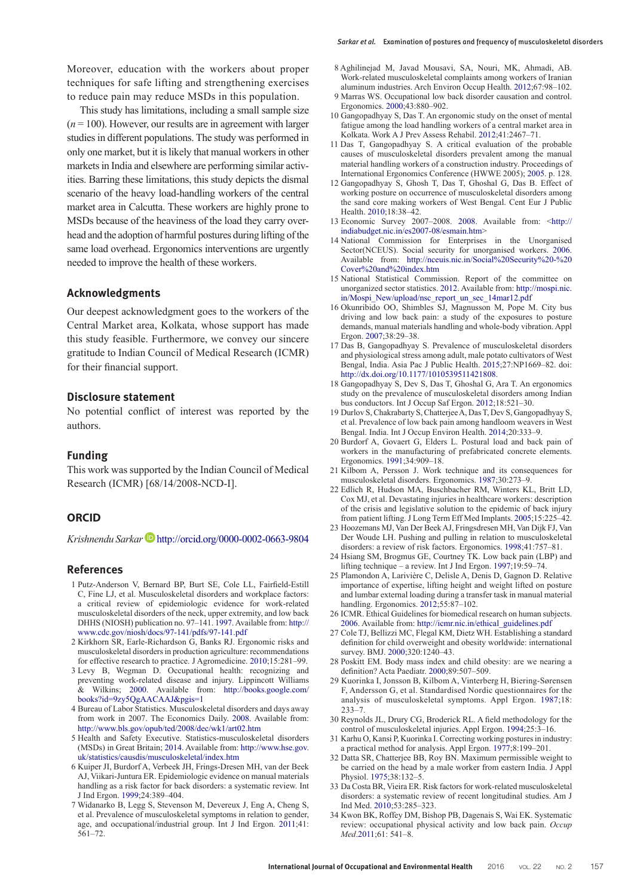Moreover, education with the workers about proper techniques for safe lifting and strengthening exercises to reduce pain may reduce MSDs in this population.

This study has limitations, including a small sample size  $(n = 100)$ . However, our results are in agreement with larger studies in different populations. The study was performed in only one market, but it is likely that manual workers in other markets in India and elsewhere are performing similar activities. Barring these limitations, this study depicts the dismal scenario of the heavy load-handling workers of the central market area in Calcutta. These workers are highly prone to MSDs because of the heaviness of the load they carry overhead and the adoption of harmful postures during lifting of the same load overhead. Ergonomics interventions are urgently needed to improve the health of these workers.

#### **Acknowledgments**

Our deepest acknowledgment goes to the workers of the Central Market area, Kolkata, whose support has made this study feasible. Furthermore, we convey our sincere gratitude to Indian Council of Medical Research (ICMR) for their financial support.

#### **Disclosure statement**

No potential conflict of interest was reported by the authors.

#### **Funding**

This work was supported by the Indian Council of Medical Research (ICMR) [68/14/2008-NCD-I].

#### **ORCID**

*Krishnendu Sarkar* **<http://orcid.org/0000-0002-0663-9804>** 

#### **References**

- <span id="page-6-0"></span>1 Putz-Anderson V, Bernard BP, Burt SE, Cole LL, Fairfield-Estill C, Fine LJ, et al. Musculoskeletal disorders and workplace factors: a critical review of epidemiologic evidence for work-related musculoskeletal disorders of the neck, upper extremity, and low back DHHS (NIOSH) publication no. 97–141. [1997.](#page-0-6) Available from: [http://](http://www.cdc.gov/niosh/docs/97-141/pdfs/97-141.pdf) [www.cdc.gov/niosh/docs/97-141/pdfs/97-141.pdf](http://www.cdc.gov/niosh/docs/97-141/pdfs/97-141.pdf)
- <span id="page-6-1"></span>2 Kirkhorn SR, Earle-Richardson G, Banks RJ. Ergonomic risks and musculoskeletal disorders in production agriculture: recommendations for effective research to practice. J Agromedicine. [2010;](#page-0-7)15:281–99.
- <span id="page-6-2"></span>3 Levy B, Wegman D. Occupational health: recognizing and preventing work-related disease and injury. Lippincott Williams & Wilkins; [2000.](#page-0-8) Available from: [http://books.google.com/](http://books.google.com/books?id=9zy5QgAACAAJ&pgis=1) [books?id=9zy5QgAACAAJ&pgis=1](http://books.google.com/books?id=9zy5QgAACAAJ&pgis=1)
- <span id="page-6-3"></span>4 Bureau of Labor Statistics. Musculoskeletal disorders and days away from work in 2007. The Economics Daily. [2008](#page-0-9). Available from: <http://www.bls.gov/opub/ted/2008/dec/wk1/art02.htm>
- <span id="page-6-4"></span>5 Health and Safety Executive. Statistics-musculoskeletal disorders (MSDs) in Great Britain; [2014.](#page-0-10) Available from: [http://www.hse.gov.](http://www.hse.gov.uk/statistics/causdis/musculoskeletal/index.htm) [uk/statistics/causdis/musculoskeletal/index.htm](http://www.hse.gov.uk/statistics/causdis/musculoskeletal/index.htm)
- 6 Kuiper JI, Burdorf A, Verbeek JH, Frings-Dresen MH, van der Beek AJ, Viikari-Juntura ER. Epidemiologic evidence on manual materials handling as a risk factor for back disorders: a systematic review. Int J Ind Ergon. 1999;24:389–404.
- <span id="page-6-10"></span>7 Widanarko B, Legg S, Stevenson M, Devereux J, Eng A, Cheng S, et al. Prevalence of musculoskeletal symptoms in relation to gender, age, and occupational/industrial group. Int J Ind Ergon. [2011;](#page-0-11)41: 561–72.
- <span id="page-6-5"></span>8 Aghilinejad M, Javad Mousavi, SA, Nouri, MK, Ahmadi, AB. Work-related musculoskeletal complaints among workers of Iranian aluminum industries. Arch Environ Occup Health. 2012;67:98–102.
- 9 Marras WS. Occupational low back disorder causation and control. Ergonomics. 2000;43:880–902.
- <span id="page-6-6"></span>10 Gangopadhyay S, Das T. An ergonomic study on the onset of mental fatigue among the load handling workers of a central market area in Kolkata. Work A J Prev Assess Rehabil. [2012;](#page-0-2)41:2467–71.
- 11 Das T, Gangopadhyay S. A critical evaluation of the probable causes of musculoskeletal disorders prevalent among the manual material handling workers of a construction industry. Proceedings of International Ergonomics Conference (HWWE 2005); 2005. p. 128.
- <span id="page-6-8"></span>12 Gangopadhyay S, Ghosh T, Das T, Ghoshal G, Das B. Effect of working posture on occurrence of musculoskeletal disorders among the sand core making workers of West Bengal. Cent Eur J Public Health. 2010;18:38–42.
- <span id="page-6-7"></span>13 Economic Survey 2007–2008. 2008. Available from: <[http://](http://indiabudget.nic.in/es2007-08/esmain.htm) [indiabudget.nic.in/es2007-08/esmain.htm>](http://indiabudget.nic.in/es2007-08/esmain.htm)
- 14 National Commission for Enterprises in the Unorganised Sector(NCEUS). Social security for unorganised workers. 2006. Available from: [http://nceuis.nic.in/Social%20Security%20-%20](http://nceuis.nic.in/Social%20Security%20-%20Cover%20and%20index.htm) [Cover%20and%20index.htm](http://nceuis.nic.in/Social%20Security%20-%20Cover%20and%20index.htm)
- 15 National Statistical Commission. Report of the committee on unorganized sector statistics. 2012. Available from: [http://mospi.nic.](http://mospi.nic.in/Mospi_New/upload/nsc_report_un_sec_14mar12.pdf) [in/Mospi\\_New/upload/nsc\\_report\\_un\\_sec\\_14mar12.pdf](http://mospi.nic.in/Mospi_New/upload/nsc_report_un_sec_14mar12.pdf)
- 16 Okunribido OO, Shimbles SJ, Magnusson M, Pope M. City bus driving and low back pain: a study of the exposures to posture demands, manual materials handling and whole-body vibration. Appl Ergon. 2007;38:29–38.
- 17 Das B, Gangopadhyay S. Prevalence of musculoskeletal disorders and physiological stress among adult, male potato cultivators of West Bengal, India. Asia Pac J Public Health. 2015;27:NP1669–82. doi[:](http://dx.doi.org/10.1177/1010539511421808) [http://dx.doi.org/10.1177/1010539511421808.](http://dx.doi.org/10.1177/1010539511421808)
- 18 Gangopadhyay S, Dev S, Das T, Ghoshal G, Ara T. An ergonomics study on the prevalence of musculoskeletal disorders among Indian bus conductors. Int J Occup Saf Ergon. 2012;18:521–30.
- 19 Durlov S, Chakrabarty S, Chatterjee A, Das T, Dev S, Gangopadhyay S, et al. Prevalence of low back pain among handloom weavers in West Bengal. India. Int J Occup Environ Health. 2014;20:333–9.
- 20 Burdorf A, Govaert G, Elders L. Postural load and back pain of workers in the manufacturing of prefabricated concrete elements. Ergonomics. 1991;34:909–18.
- <span id="page-6-9"></span>21 Kilbom A, Persson J. Work technique and its consequences for musculoskeletal disorders. Ergonomics. [1987](#page-0-3);30:273–9.
- <span id="page-6-11"></span>22 Edlich R, Hudson MA, Buschbacher RM, Winters KL, Britt LD, Cox MJ, et al. Devastating injuries in healthcare workers: description of the crisis and legislative solution to the epidemic of back injury from patient lifting. J Long Term Eff Med Implants. [2005](#page-0-4);15:225–42.
- <span id="page-6-12"></span>23 Hoozemans MJ, Van Der Beek AJ, Fringsdresen MH, Van Dijk FJ, Van Der Woude LH. Pushing and pulling in relation to musculoskeletal disorders: a review of risk factors. Ergonomics. [1998;](#page-0-5)41:757–81.
- <span id="page-6-13"></span>24 Hsiang SM, Brogmus GE, Courtney TK. Low back pain (LBP) and lifting technique – a review. Int J Ind Ergon. 1997;19:59–74.
- 25 Plamondon A, Larivière C, Delisle A, Denis D, Gagnon D. Relative importance of expertise, lifting height and weight lifted on posture and lumbar external loading during a transfer task in manual material handling. Ergonomics. 2012;55:87–102.
- <span id="page-6-14"></span>26 ICMR. Ethical Guidelines for biomedical research on human subjects. [2006](#page-1-0). Available from: [http://icmr.nic.in/ethical\\_guidelines.pdf](http://icmr.nic.in/ethical_guidelines.pdf)
- <span id="page-6-15"></span>27 Cole TJ, Bellizzi MC, Flegal KM, Dietz WH. Establishing a standard definition for child overweight and obesity worldwide: international survey. BMJ. 2000;320:1240–43.
- 28 Poskitt EM. Body mass index and child obesity: are we nearing a definition? Acta Paediatr. 2000;89:507–509.
- <span id="page-6-16"></span>29 Kuorinka I, Jonsson B, Kilbom A, Vinterberg H, Biering-Sørensen F, Andersson G, et al. Standardised Nordic questionnaires for the analysis of musculoskeletal symptoms. Appl Ergon. [1987](#page-1-1);18: 233–7.
- <span id="page-6-17"></span>30 Reynolds JL, Drury CG, Broderick RL. A field methodology for the control of musculoskeletal injuries. Appl Ergon. [1994;](#page-1-2)25:3–16.
- <span id="page-6-18"></span>31 Karhu O, Kansi P, Kuorinka I. Correcting working postures in industry: a practical method for analysis. Appl Ergon. [1977](#page-1-3);8:199–201.
- <span id="page-6-19"></span>32 Datta SR, Chatterjee BB, Roy BN. Maximum permissible weight to be carried on the head by a male worker from eastern India. J Appl Physiol. [1975](#page-3-3);38:132–5.
- <span id="page-6-20"></span>33 Da Costa BR, Vieira ER. Risk factors for work-related musculoskeletal disorders: a systematic review of recent longitudinal studies. Am J Ind Med. 2010;53:285–323.
- 34 Kwon BK, Roffey DM, Bishop PB, Dagenais S, Wai EK. Systematic review: occupational physical activity and low back pain. *Occup Med*.2011;61: 541–8.